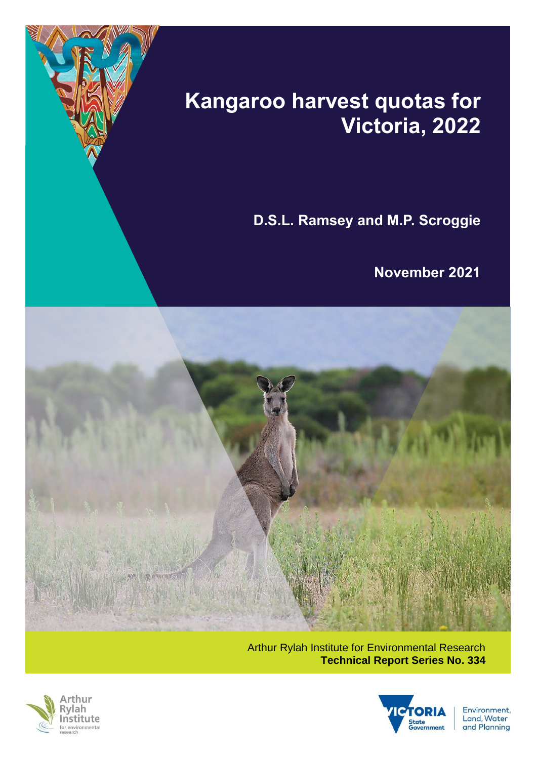

# **Kangaroo harvest quotas for Victoria, 2022**

**D.S.L. Ramsey and M.P. Scroggie**

**November 2021**



Arthur Rylah Institute for Environmental Research **Technical Report Series No. 334**





Environment, **Land, Water** and Planning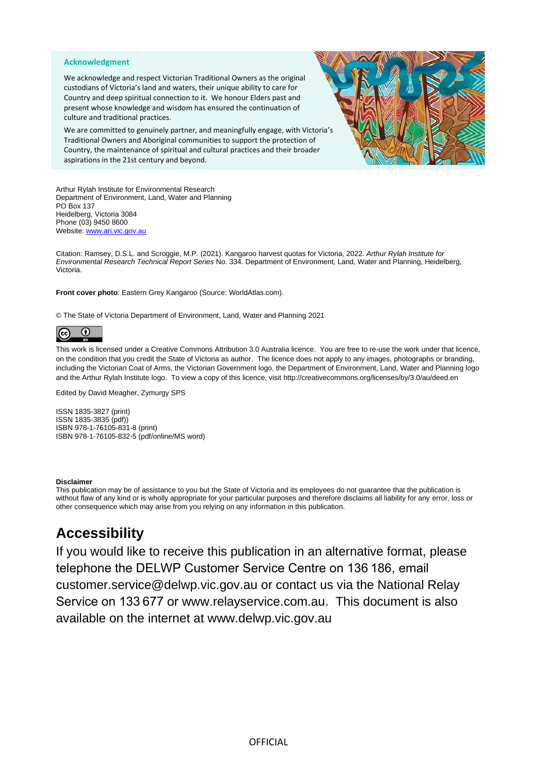#### **Acknowledgment**

We acknowledge and respect Victorian Traditional Owners as the original custodians of Victoria's land and waters, their unique ability to care for Country and deep spiritual connection to it. We honour Elders past and present whose knowledge and wisdom has ensured the continuation of culture and traditional practices.

We are committed to genuinely partner, and meaningfully engage, with Victoria's Traditional Owners and Aboriginal communities to support the protection of Country, the maintenance of spiritual and cultural practices and their broader aspirations in the 21st century and beyond.



Arthur Rylah Institute for Environmental Research Department of Environment, Land, Water and Planning PO Box 137 Heidelberg, Victoria 3084 Phone (03) 9450 8600 Website[: www.ari.vic.gov.au](http://www.ari.vic.gov.au/)

Citation: Ramsey, D.S.L. and Scroggie, M.P. (2021). Kangaroo harvest quotas for Victoria, 2022. *Arthur Rylah Institute for Environmental Research Technical Report Series* No. 334. Department of Environment, Land, Water and Planning, Heidelberg, Victoria.

**Front cover photo**: Eastern Grey Kangaroo (Source: WorldAtlas.com).

© The State of Victoria Department of Environment, Land, Water and Planning 2021

#### $\omega$  $\left( \mathrm{cc}\right)$

This work is licensed under a Creative Commons Attribution 3.0 Australia licence. You are free to re-use the work under that licence, on the condition that you credit the State of Victoria as author. The licence does not apply to any images, photographs or branding, including the Victorian Coat of Arms, the Victorian Government logo, the Department of Environment, Land, Water and Planning logo and the Arthur Rylah Institute logo. To view a copy of this licence, visit<http://creativecommons.org/licenses/by/3.0/au/deed.en>

Edited by David Meagher, Zymurgy SPS

ISSN 1835-3827 (print) ISSN 1835-3835 (pdf)) ISBN 978-1-76105-831-8 (print) ISBN 978-1-76105-832-5 (pdf/online/MS word)

#### **Disclaimer**

This publication may be of assistance to you but the State of Victoria and its employees do not guarantee that the publication is without flaw of any kind or is wholly appropriate for your particular purposes and therefore disclaims all liability for any error, loss or other consequence which may arise from you relying on any information in this publication.

### **Accessibility**

If you would like to receive this publication in an alternative format, please telephone the DELWP Customer Service Centre on 136 186, email [customer.service@delwp.vic.gov.au](mailto:customer.service@delwp.vic.gov.au) or contact us via the National Relay Service on 133 677 or [www.relayservice.com.au.](http://www.relayservice.com.au/) This document is also available on the internet at [www.delwp.vic.gov.au](http://www.delwp.vic.gov.au/)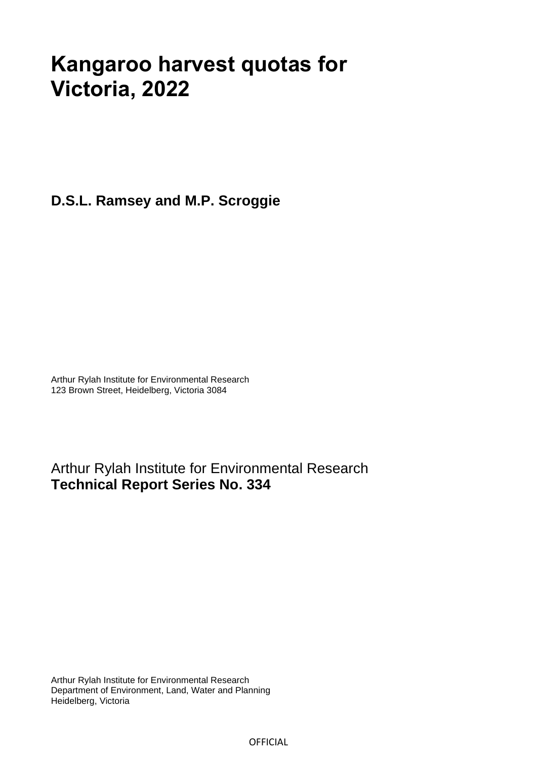## **Kangaroo harvest quotas for Victoria, 2022**

**D.S.L. Ramsey and M.P. Scroggie** 

Arthur Rylah Institute for Environmental Research 123 Brown Street, Heidelberg, Victoria 3084

Arthur Rylah Institute for Environmental Research **Technical Report Series No. 334**

Arthur Rylah Institute for Environmental Research Department of Environment, Land, Water and Planning Heidelberg, Victoria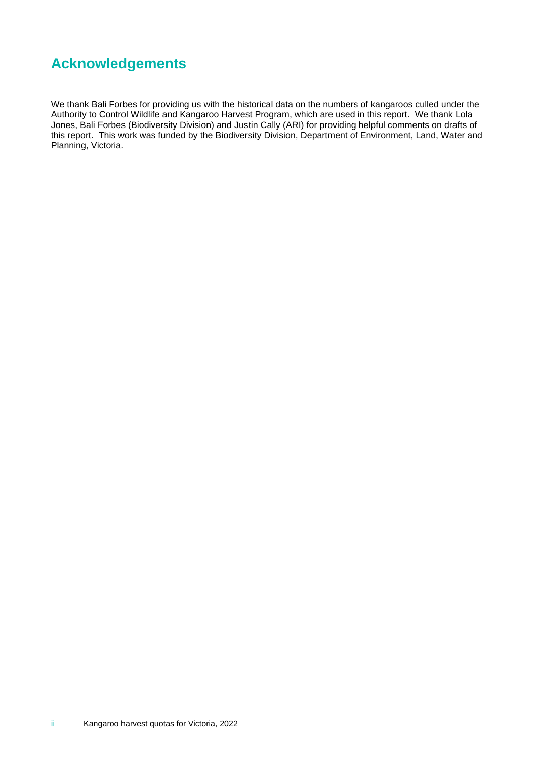### **Acknowledgements**

We thank Bali Forbes for providing us with the historical data on the numbers of kangaroos culled under the Authority to Control Wildlife and Kangaroo Harvest Program, which are used in this report. We thank Lola Jones, Bali Forbes (Biodiversity Division) and Justin Cally (ARI) for providing helpful comments on drafts of this report. This work was funded by the Biodiversity Division, Department of Environment, Land, Water and Planning, Victoria.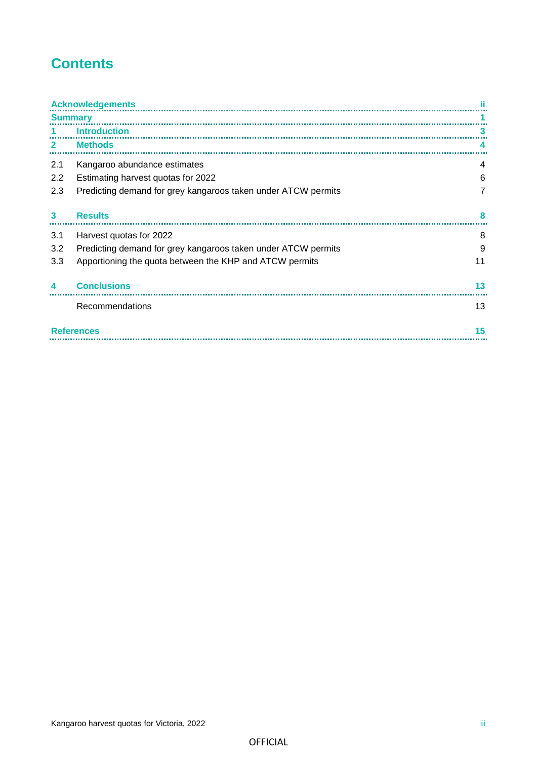## **Contents**

|                | <b>Acknowledgements</b>                                       |    |  |  |
|----------------|---------------------------------------------------------------|----|--|--|
| <b>Summary</b> |                                                               |    |  |  |
|                | <b>Introduction</b>                                           | з  |  |  |
| $\mathbf{2}$   | <b>Methods</b>                                                |    |  |  |
| 2.1            | Kangaroo abundance estimates                                  | 4  |  |  |
| 2.2            | Estimating harvest quotas for 2022                            | 6  |  |  |
| 2.3            | Predicting demand for grey kangaroos taken under ATCW permits | 7  |  |  |
|                |                                                               |    |  |  |
| 3              | <b>Results</b>                                                | я  |  |  |
| 3.1            | Harvest quotas for 2022                                       | 8  |  |  |
| 3.2            | Predicting demand for grey kangaroos taken under ATCW permits | 9  |  |  |
| 3.3            | Apportioning the quota between the KHP and ATCW permits       | 11 |  |  |
| 4              | <b>Conclusions</b>                                            | 13 |  |  |
|                |                                                               |    |  |  |
|                | Recommendations                                               | 13 |  |  |
|                | 15<br><b>References</b>                                       |    |  |  |
|                |                                                               |    |  |  |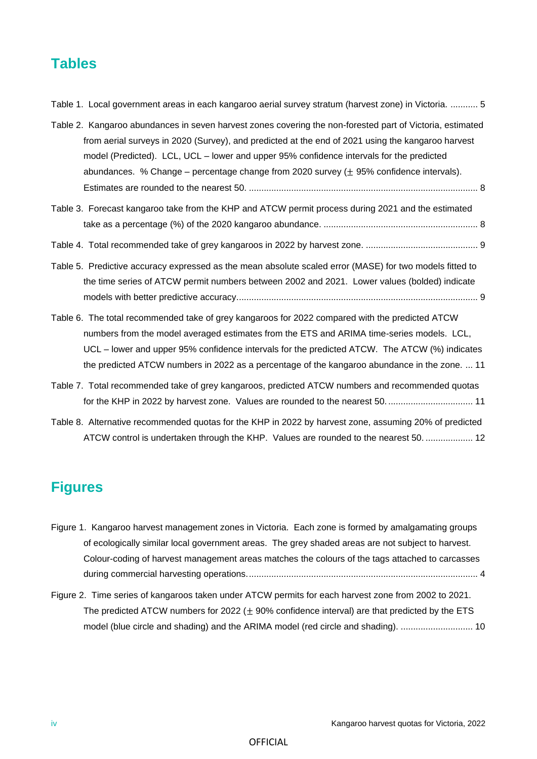### **Tables**

| Table 1. Local government areas in each kangaroo aerial survey stratum (harvest zone) in Victoria.  5                                                                                                                                                                                                                                                                                                      |
|------------------------------------------------------------------------------------------------------------------------------------------------------------------------------------------------------------------------------------------------------------------------------------------------------------------------------------------------------------------------------------------------------------|
| Table 2. Kangaroo abundances in seven harvest zones covering the non-forested part of Victoria, estimated<br>from aerial surveys in 2020 (Survey), and predicted at the end of 2021 using the kangaroo harvest<br>model (Predicted). LCL, UCL – lower and upper 95% confidence intervals for the predicted<br>abundances. % Change – percentage change from 2020 survey ( $\pm$ 95% confidence intervals). |
| Table 3. Forecast kangaroo take from the KHP and ATCW permit process during 2021 and the estimated                                                                                                                                                                                                                                                                                                         |
|                                                                                                                                                                                                                                                                                                                                                                                                            |
|                                                                                                                                                                                                                                                                                                                                                                                                            |
| Table 5. Predictive accuracy expressed as the mean absolute scaled error (MASE) for two models fitted to                                                                                                                                                                                                                                                                                                   |
| the time series of ATCW permit numbers between 2002 and 2021. Lower values (bolded) indicate                                                                                                                                                                                                                                                                                                               |
|                                                                                                                                                                                                                                                                                                                                                                                                            |
| Table 6. The total recommended take of grey kangaroos for 2022 compared with the predicted ATCW                                                                                                                                                                                                                                                                                                            |
| numbers from the model averaged estimates from the ETS and ARIMA time-series models. LCL,                                                                                                                                                                                                                                                                                                                  |
| UCL – lower and upper 95% confidence intervals for the predicted ATCW. The ATCW (%) indicates                                                                                                                                                                                                                                                                                                              |
| the predicted ATCW numbers in 2022 as a percentage of the kangaroo abundance in the zone.  11                                                                                                                                                                                                                                                                                                              |
| Table 7. Total recommended take of grey kangaroos, predicted ATCW numbers and recommended quotas                                                                                                                                                                                                                                                                                                           |
| for the KHP in 2022 by harvest zone. Values are rounded to the nearest 50 11                                                                                                                                                                                                                                                                                                                               |
| Table 8. Alternative recommended quotas for the KHP in 2022 by harvest zone, assuming 20% of predicted                                                                                                                                                                                                                                                                                                     |

### **Figures**

|  | Figure 1. Kangaroo harvest management zones in Victoria. Each zone is formed by amalgamating groups |
|--|-----------------------------------------------------------------------------------------------------|
|  | of ecologically similar local government areas. The grey shaded areas are not subject to harvest.   |
|  | Colour-coding of harvest management areas matches the colours of the tags attached to carcasses     |
|  |                                                                                                     |

ATCW control is undertaken through the KHP. Values are rounded to the nearest 50. ................... 12

Figure 2. Time series of kangaroos taken under ATCW permits for each harvest zone from 2002 to 2021. The predicted ATCW numbers for 2022  $(\pm 90\%$  confidence interval) are that predicted by the ETS model (blue circle and shading) and the ARIMA model (red circle and shading). ............................. 10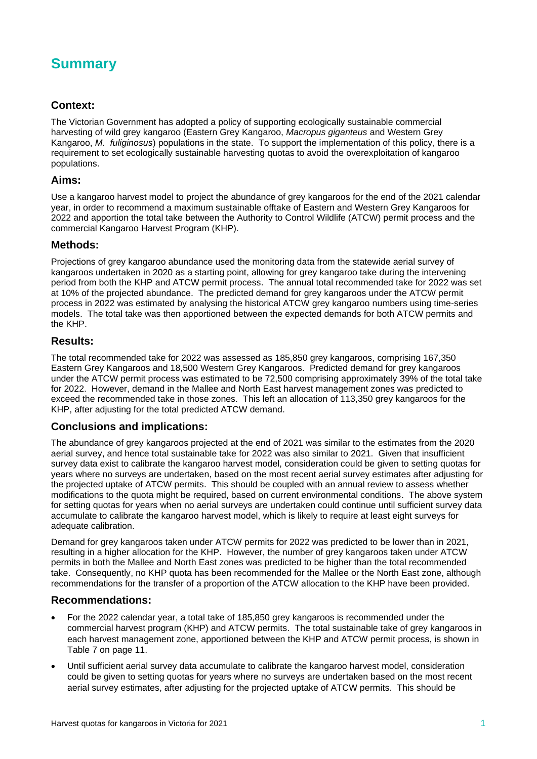

### **Context:**

The Victorian Government has adopted a policy of supporting ecologically sustainable commercial harvesting of wild grey kangaroo (Eastern Grey Kangaroo, *Macropus giganteus* and Western Grey Kangaroo, *M. fuliginosus*) populations in the state. To support the implementation of this policy, there is a requirement to set ecologically sustainable harvesting quotas to avoid the overexploitation of kangaroo populations.

### **Aims:**

Use a kangaroo harvest model to project the abundance of grey kangaroos for the end of the 2021 calendar year, in order to recommend a maximum sustainable offtake of Eastern and Western Grey Kangaroos for 2022 and apportion the total take between the Authority to Control Wildlife (ATCW) permit process and the commercial Kangaroo Harvest Program (KHP).

### **Methods:**

Projections of grey kangaroo abundance used the monitoring data from the statewide aerial survey of kangaroos undertaken in 2020 as a starting point, allowing for grey kangaroo take during the intervening period from both the KHP and ATCW permit process. The annual total recommended take for 2022 was set at 10% of the projected abundance. The predicted demand for grey kangaroos under the ATCW permit process in 2022 was estimated by analysing the historical ATCW grey kangaroo numbers using time-series models. The total take was then apportioned between the expected demands for both ATCW permits and the KHP.

### **Results:**

The total recommended take for 2022 was assessed as 185,850 grey kangaroos, comprising 167,350 Eastern Grey Kangaroos and 18,500 Western Grey Kangaroos. Predicted demand for grey kangaroos under the ATCW permit process was estimated to be 72,500 comprising approximately 39% of the total take for 2022. However, demand in the Mallee and North East harvest management zones was predicted to exceed the recommended take in those zones. This left an allocation of 113,350 grey kangaroos for the KHP, after adjusting for the total predicted ATCW demand.

#### **Conclusions and implications:**

The abundance of grey kangaroos projected at the end of 2021 was similar to the estimates from the 2020 aerial survey, and hence total sustainable take for 2022 was also similar to 2021. Given that insufficient survey data exist to calibrate the kangaroo harvest model, consideration could be given to setting quotas for years where no surveys are undertaken, based on the most recent aerial survey estimates after adjusting for the projected uptake of ATCW permits. This should be coupled with an annual review to assess whether modifications to the quota might be required, based on current environmental conditions. The above system for setting quotas for years when no aerial surveys are undertaken could continue until sufficient survey data accumulate to calibrate the kangaroo harvest model, which is likely to require at least eight surveys for adequate calibration.

Demand for grey kangaroos taken under ATCW permits for 2022 was predicted to be lower than in 2021, resulting in a higher allocation for the KHP. However, the number of grey kangaroos taken under ATCW permits in both the Mallee and North East zones was predicted to be higher than the total recommended take. Consequently, no KHP quota has been recommended for the Mallee or the North East zone, although recommendations for the transfer of a proportion of the ATCW allocation to the KHP have been provided.

#### **Recommendations:**

- For the 2022 calendar year, a total take of 185,850 grey kangaroos is recommended under the commercial harvest program (KHP) and ATCW permits. The total sustainable take of grey kangaroos in each harvest management zone, apportioned between the KHP and ATCW permit process, is shown in Table 7 on page 11.
- Until sufficient aerial survey data accumulate to calibrate the kangaroo harvest model, consideration could be given to setting quotas for years where no surveys are undertaken based on the most recent aerial survey estimates, after adjusting for the projected uptake of ATCW permits. This should be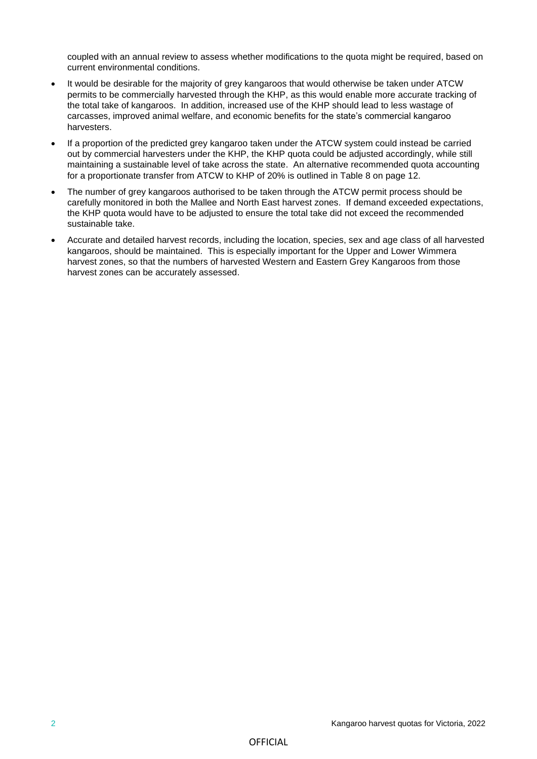coupled with an annual review to assess whether modifications to the quota might be required, based on current environmental conditions.

- It would be desirable for the majority of grey kangaroos that would otherwise be taken under ATCW permits to be commercially harvested through the KHP, as this would enable more accurate tracking of the total take of kangaroos. In addition, increased use of the KHP should lead to less wastage of carcasses, improved animal welfare, and economic benefits for the state's commercial kangaroo harvesters.
- If a proportion of the predicted grey kangaroo taken under the ATCW system could instead be carried out by commercial harvesters under the KHP, the KHP quota could be adjusted accordingly, while still maintaining a sustainable level of take across the state. An alternative recommended quota accounting for a proportionate transfer from ATCW to KHP of 20% is outlined in Table 8 on page 12.
- The number of grey kangaroos authorised to be taken through the ATCW permit process should be carefully monitored in both the Mallee and North East harvest zones. If demand exceeded expectations, the KHP quota would have to be adjusted to ensure the total take did not exceed the recommended sustainable take.
- Accurate and detailed harvest records, including the location, species, sex and age class of all harvested kangaroos, should be maintained. This is especially important for the Upper and Lower Wimmera harvest zones, so that the numbers of harvested Western and Eastern Grey Kangaroos from those harvest zones can be accurately assessed.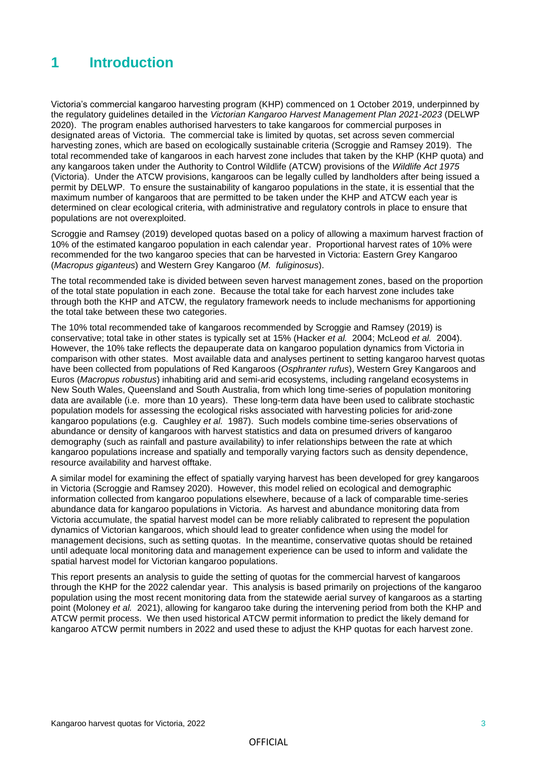### **1 Introduction**

Victoria's commercial kangaroo harvesting program (KHP) commenced on 1 October 2019, underpinned by the regulatory guidelines detailed in the *Victorian Kangaroo Harvest Management Plan 2021-2023* (DELWP 2020). The program enables authorised harvesters to take kangaroos for commercial purposes in designated areas of Victoria. The commercial take is limited by quotas, set across seven commercial harvesting zones, which are based on ecologically sustainable criteria (Scroggie and Ramsey 2019). The total recommended take of kangaroos in each harvest zone includes that taken by the KHP (KHP quota) and any kangaroos taken under the Authority to Control Wildlife (ATCW) provisions of the *Wildlife Act 1975* (Victoria). Under the ATCW provisions, kangaroos can be legally culled by landholders after being issued a permit by DELWP. To ensure the sustainability of kangaroo populations in the state, it is essential that the maximum number of kangaroos that are permitted to be taken under the KHP and ATCW each year is determined on clear ecological criteria, with administrative and regulatory controls in place to ensure that populations are not overexploited.

Scroggie and Ramsey (2019) developed quotas based on a policy of allowing a maximum harvest fraction of 10% of the estimated kangaroo population in each calendar year. Proportional harvest rates of 10% were recommended for the two kangaroo species that can be harvested in Victoria: Eastern Grey Kangaroo (*Macropus giganteus*) and Western Grey Kangaroo (*M. fuliginosus*).

The total recommended take is divided between seven harvest management zones, based on the proportion of the total state population in each zone. Because the total take for each harvest zone includes take through both the KHP and ATCW, the regulatory framework needs to include mechanisms for apportioning the total take between these two categories.

The 10% total recommended take of kangaroos recommended by Scroggie and Ramsey (2019) is conservative; total take in other states is typically set at 15% (Hacker *et al.* 2004; McLeod *et al.* 2004). However, the 10% take reflects the depauperate data on kangaroo population dynamics from Victoria in comparison with other states. Most available data and analyses pertinent to setting kangaroo harvest quotas have been collected from populations of Red Kangaroos (*Osphranter rufus*), Western Grey Kangaroos and Euros (*Macropus robustus*) inhabiting arid and semi-arid ecosystems, including rangeland ecosystems in New South Wales, Queensland and South Australia, from which long time-series of population monitoring data are available (i.e. more than 10 years). These long-term data have been used to calibrate stochastic population models for assessing the ecological risks associated with harvesting policies for arid-zone kangaroo populations (e.g. Caughley *et al.* 1987). Such models combine time-series observations of abundance or density of kangaroos with harvest statistics and data on presumed drivers of kangaroo demography (such as rainfall and pasture availability) to infer relationships between the rate at which kangaroo populations increase and spatially and temporally varying factors such as density dependence, resource availability and harvest offtake.

A similar model for examining the effect of spatially varying harvest has been developed for grey kangaroos in Victoria (Scroggie and Ramsey 2020). However, this model relied on ecological and demographic information collected from kangaroo populations elsewhere, because of a lack of comparable time-series abundance data for kangaroo populations in Victoria. As harvest and abundance monitoring data from Victoria accumulate, the spatial harvest model can be more reliably calibrated to represent the population dynamics of Victorian kangaroos, which should lead to greater confidence when using the model for management decisions, such as setting quotas. In the meantime, conservative quotas should be retained until adequate local monitoring data and management experience can be used to inform and validate the spatial harvest model for Victorian kangaroo populations.

This report presents an analysis to guide the setting of quotas for the commercial harvest of kangaroos through the KHP for the 2022 calendar year. This analysis is based primarily on projections of the kangaroo population using the most recent monitoring data from the statewide aerial survey of kangaroos as a starting point (Moloney *et al.* 2021), allowing for kangaroo take during the intervening period from both the KHP and ATCW permit process. We then used historical ATCW permit information to predict the likely demand for kangaroo ATCW permit numbers in 2022 and used these to adjust the KHP quotas for each harvest zone.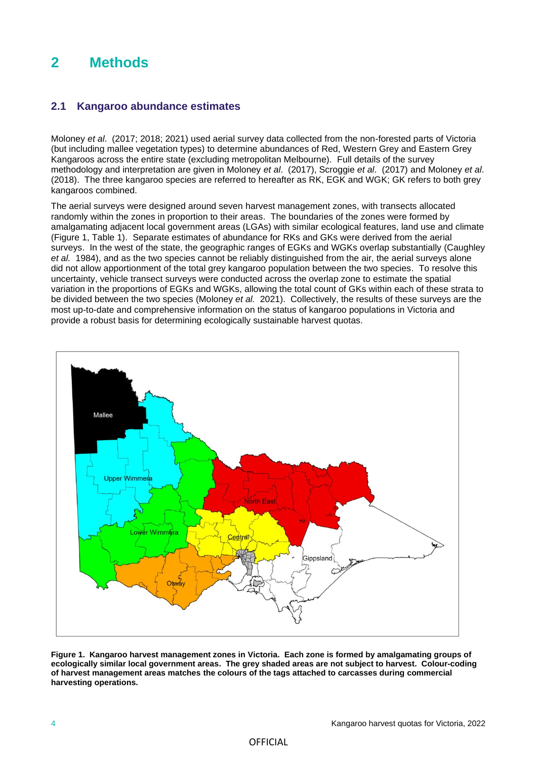### **2 Methods**

### **2.1 Kangaroo abundance estimates**

Moloney *et al*. (2017; 2018; 2021) used aerial survey data collected from the non-forested parts of Victoria (but including mallee vegetation types) to determine abundances of Red, Western Grey and Eastern Grey Kangaroos across the entire state (excluding metropolitan Melbourne). Full details of the survey methodology and interpretation are given in Moloney *et al*. (2017), Scroggie *et al*. (2017) and Moloney *et al*. (2018). The three kangaroo species are referred to hereafter as RK, EGK and WGK; GK refers to both grey kangaroos combined.

The aerial surveys were designed around seven harvest management zones, with transects allocated randomly within the zones in proportion to their areas. The boundaries of the zones were formed by amalgamating adjacent local government areas (LGAs) with similar ecological features, land use and climate (Figure 1, Table 1). Separate estimates of abundance for RKs and GKs were derived from the aerial surveys. In the west of the state, the geographic ranges of EGKs and WGKs overlap substantially (Caughley *et al.* 1984), and as the two species cannot be reliably distinguished from the air, the aerial surveys alone did not allow apportionment of the total grey kangaroo population between the two species. To resolve this uncertainty, vehicle transect surveys were conducted across the overlap zone to estimate the spatial variation in the proportions of EGKs and WGKs, allowing the total count of GKs within each of these strata to be divided between the two species (Moloney *et al.* 2021). Collectively, the results of these surveys are the most up-to-date and comprehensive information on the status of kangaroo populations in Victoria and provide a robust basis for determining ecologically sustainable harvest quotas.



**Figure 1. Kangaroo harvest management zones in Victoria. Each zone is formed by amalgamating groups of ecologically similar local government areas. The grey shaded areas are not subject to harvest. Colour-coding of harvest management areas matches the colours of the tags attached to carcasses during commercial harvesting operations.**

#### **OFFICIAL**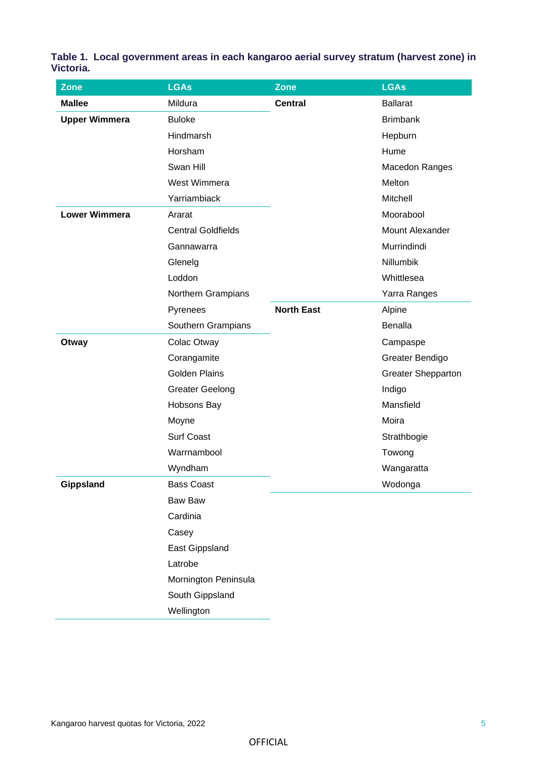**Table 1. Local government areas in each kangaroo aerial survey stratum (harvest zone) in Victoria.**

| <b>Zone</b>          | <b>LGAs</b>               | <b>Zone</b>       | <b>LGAs</b>               |
|----------------------|---------------------------|-------------------|---------------------------|
| <b>Mallee</b>        | Mildura                   | <b>Central</b>    | <b>Ballarat</b>           |
| <b>Upper Wimmera</b> | <b>Buloke</b>             |                   | <b>Brimbank</b>           |
|                      | Hindmarsh                 |                   | Hepburn                   |
|                      | Horsham                   |                   | Hume                      |
|                      | Swan Hill                 |                   | Macedon Ranges            |
|                      | West Wimmera              |                   | Melton                    |
|                      | Yarriambiack              |                   | Mitchell                  |
| <b>Lower Wimmera</b> | Ararat                    |                   | Moorabool                 |
|                      | <b>Central Goldfields</b> |                   | Mount Alexander           |
|                      | Gannawarra                |                   | Murrindindi               |
|                      | Glenelg                   |                   | Nillumbik                 |
|                      | Loddon                    |                   | Whittlesea                |
|                      | Northern Grampians        |                   | Yarra Ranges              |
|                      | Pyrenees                  | <b>North East</b> | Alpine                    |
|                      | Southern Grampians        |                   | Benalla                   |
| Otway                | Colac Otway               |                   | Campaspe                  |
|                      | Corangamite               |                   | Greater Bendigo           |
|                      | <b>Golden Plains</b>      |                   | <b>Greater Shepparton</b> |
|                      | <b>Greater Geelong</b>    |                   | Indigo                    |
|                      | Hobsons Bay               |                   | Mansfield                 |
|                      | Moyne                     |                   | Moira                     |
|                      | <b>Surf Coast</b>         |                   | Strathbogie               |
|                      | Warrnambool               |                   | Towong                    |
|                      | Wyndham                   |                   | Wangaratta                |
| Gippsland            | <b>Bass Coast</b>         |                   | Wodonga                   |
|                      | <b>Baw Baw</b>            |                   |                           |
|                      | Cardinia                  |                   |                           |
|                      | Casey                     |                   |                           |
|                      | East Gippsland            |                   |                           |
|                      | Latrobe                   |                   |                           |
|                      | Mornington Peninsula      |                   |                           |
|                      | South Gippsland           |                   |                           |
|                      | Wellington                |                   |                           |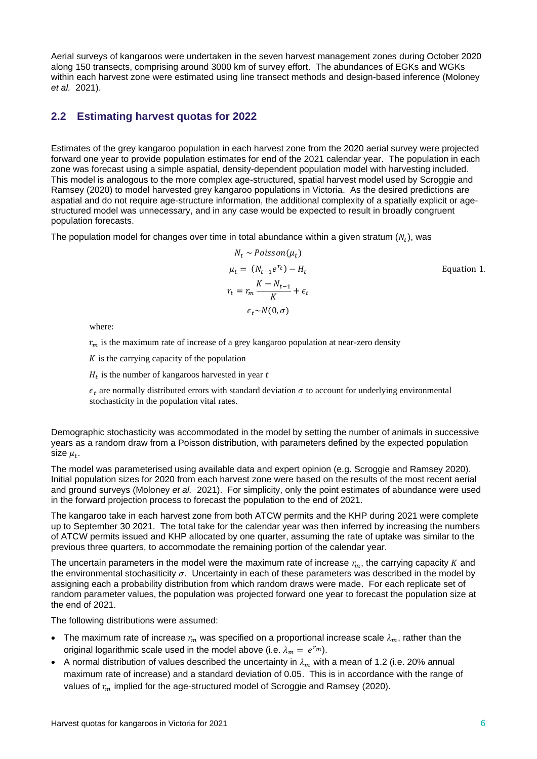Aerial surveys of kangaroos were undertaken in the seven harvest management zones during October 2020 along 150 transects, comprising around 3000 km of survey effort. The abundances of EGKs and WGKs within each harvest zone were estimated using line transect methods and design-based inference (Moloney *et al.* 2021).

### **2.2 Estimating harvest quotas for 2022**

Estimates of the grey kangaroo population in each harvest zone from the 2020 aerial survey were projected forward one year to provide population estimates for end of the 2021 calendar year. The population in each zone was forecast using a simple aspatial, density-dependent population model with harvesting included. This model is analogous to the more complex age-structured, spatial harvest model used by Scroggie and Ramsey (2020) to model harvested grey kangaroo populations in Victoria. As the desired predictions are aspatial and do not require age-structure information, the additional complexity of a spatially explicit or agestructured model was unnecessary, and in any case would be expected to result in broadly congruent population forecasts.

The population model for changes over time in total abundance within a given stratum  $(N_t)$ , was

$$
N_t \sim Poisson(\mu_t)
$$
  
\n
$$
\mu_t = (N_{t-1}e^{r_t}) - H_t
$$
  
\n
$$
r_t = r_m \frac{K - N_{t-1}}{K} + \epsilon_t
$$
  
\n
$$
\epsilon_t \sim N(0, \sigma)
$$
  
\nEquation 1.

where:

 $r_m$  is the maximum rate of increase of a grey kangaroo population at near-zero density

 $K$  is the carrying capacity of the population

 $H_t$  is the number of kangaroos harvested in year t

 $\epsilon_t$  are normally distributed errors with standard deviation  $\sigma$  to account for underlying environmental stochasticity in the population vital rates.

Demographic stochasticity was accommodated in the model by setting the number of animals in successive years as a random draw from a Poisson distribution, with parameters defined by the expected population size  $\mu_t$ .

The model was parameterised using available data and expert opinion (e.g. Scroggie and Ramsey 2020). Initial population sizes for 2020 from each harvest zone were based on the results of the most recent aerial and ground surveys (Moloney *et al.* 2021). For simplicity, only the point estimates of abundance were used in the forward projection process to forecast the population to the end of 2021.

The kangaroo take in each harvest zone from both ATCW permits and the KHP during 2021 were complete up to September 30 2021. The total take for the calendar year was then inferred by increasing the numbers of ATCW permits issued and KHP allocated by one quarter, assuming the rate of uptake was similar to the previous three quarters, to accommodate the remaining portion of the calendar year.

The uncertain parameters in the model were the maximum rate of increase  $r_m$ , the carrying capacity K and the environmental stochasiticity  $\sigma$ . Uncertainty in each of these parameters was described in the model by assigning each a probability distribution from which random draws were made. For each replicate set of random parameter values, the population was projected forward one year to forecast the population size at the end of 2021.

The following distributions were assumed:

- The maximum rate of increase  $r_m$  was specified on a proportional increase scale  $\lambda_m$ , rather than the original logarithmic scale used in the model above (i.e.  $\lambda_m = e^{r_m}$ ).
- A normal distribution of values described the uncertainty in  $\lambda_m$  with a mean of 1.2 (i.e. 20% annual maximum rate of increase) and a standard deviation of 0.05. This is in accordance with the range of values of  $r_m$  implied for the age-structured model of Scroggie and Ramsey (2020).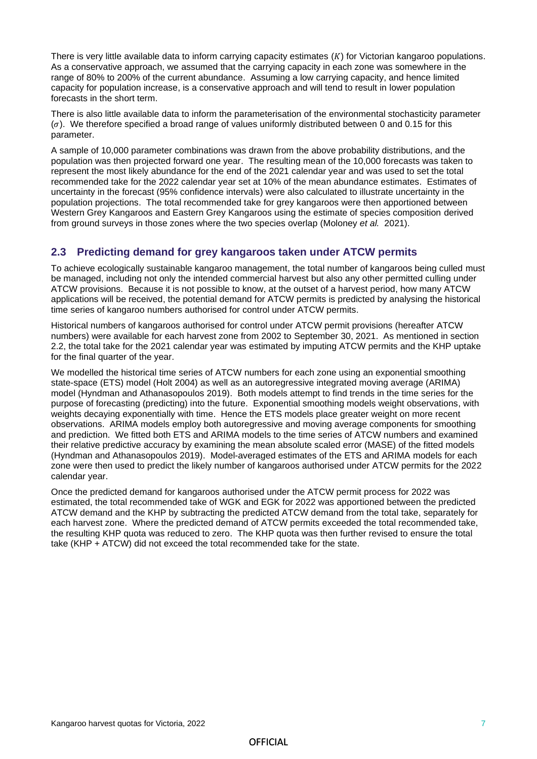There is very little available data to inform carrying capacity estimates  $(K)$  for Victorian kangaroo populations. As a conservative approach, we assumed that the carrying capacity in each zone was somewhere in the range of 80% to 200% of the current abundance. Assuming a low carrying capacity, and hence limited capacity for population increase, is a conservative approach and will tend to result in lower population forecasts in the short term.

There is also little available data to inform the parameterisation of the environmental stochasticity parameter  $(\sigma)$ . We therefore specified a broad range of values uniformly distributed between 0 and 0.15 for this parameter.

A sample of 10,000 parameter combinations was drawn from the above probability distributions, and the population was then projected forward one year. The resulting mean of the 10,000 forecasts was taken to represent the most likely abundance for the end of the 2021 calendar year and was used to set the total recommended take for the 2022 calendar year set at 10% of the mean abundance estimates. Estimates of uncertainty in the forecast (95% confidence intervals) were also calculated to illustrate uncertainty in the population projections. The total recommended take for grey kangaroos were then apportioned between Western Grey Kangaroos and Eastern Grey Kangaroos using the estimate of species composition derived from ground surveys in those zones where the two species overlap (Moloney *et al.* 2021).

### **2.3 Predicting demand for grey kangaroos taken under ATCW permits**

To achieve ecologically sustainable kangaroo management, the total number of kangaroos being culled must be managed, including not only the intended commercial harvest but also any other permitted culling under ATCW provisions. Because it is not possible to know, at the outset of a harvest period, how many ATCW applications will be received, the potential demand for ATCW permits is predicted by analysing the historical time series of kangaroo numbers authorised for control under ATCW permits.

Historical numbers of kangaroos authorised for control under ATCW permit provisions (hereafter ATCW numbers) were available for each harvest zone from 2002 to September 30, 2021. As mentioned in section 2.2, the total take for the 2021 calendar year was estimated by imputing ATCW permits and the KHP uptake for the final quarter of the year.

We modelled the historical time series of ATCW numbers for each zone using an exponential smoothing state-space (ETS) model (Holt 2004) as well as an autoregressive integrated moving average (ARIMA) model (Hyndman and Athanasopoulos 2019). Both models attempt to find trends in the time series for the purpose of forecasting (predicting) into the future. Exponential smoothing models weight observations, with weights decaying exponentially with time. Hence the ETS models place greater weight on more recent observations. ARIMA models employ both autoregressive and moving average components for smoothing and prediction. We fitted both ETS and ARIMA models to the time series of ATCW numbers and examined their relative predictive accuracy by examining the mean absolute scaled error (MASE) of the fitted models (Hyndman and Athanasopoulos 2019). Model-averaged estimates of the ETS and ARIMA models for each zone were then used to predict the likely number of kangaroos authorised under ATCW permits for the 2022 calendar year.

Once the predicted demand for kangaroos authorised under the ATCW permit process for 2022 was estimated, the total recommended take of WGK and EGK for 2022 was apportioned between the predicted ATCW demand and the KHP by subtracting the predicted ATCW demand from the total take, separately for each harvest zone. Where the predicted demand of ATCW permits exceeded the total recommended take, the resulting KHP quota was reduced to zero. The KHP quota was then further revised to ensure the total take (KHP + ATCW) did not exceed the total recommended take for the state.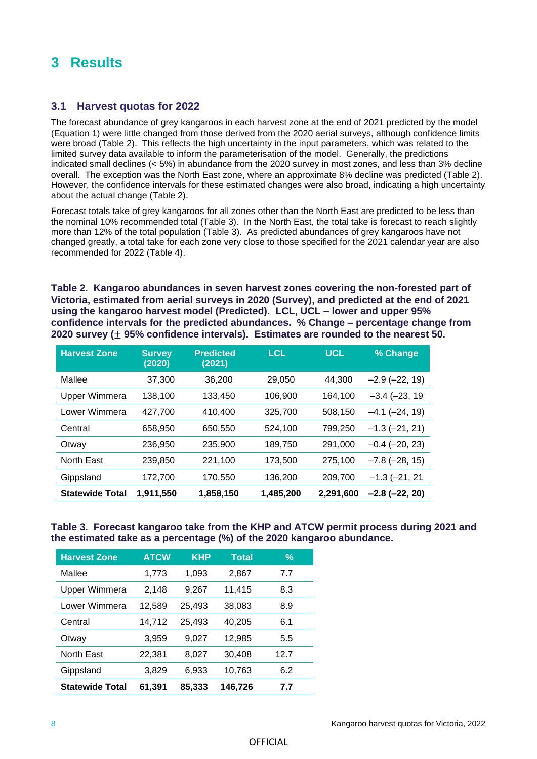### **3 Results**

### **3.1 Harvest quotas for 2022**

The forecast abundance of grey kangaroos in each harvest zone at the end of 2021 predicted by the model (Equation 1) were little changed from those derived from the 2020 aerial surveys, although confidence limits were broad (Table 2). This reflects the high uncertainty in the input parameters, which was related to the limited survey data available to inform the parameterisation of the model. Generally, the predictions indicated small declines (< 5%) in abundance from the 2020 survey in most zones, and less than 3% decline overall. The exception was the North East zone, where an approximate 8% decline was predicted (Table 2). However, the confidence intervals for these estimated changes were also broad, indicating a high uncertainty about the actual change (Table 2).

Forecast totals take of grey kangaroos for all zones other than the North East are predicted to be less than the nominal 10% recommended total (Table 3). In the North East, the total take is forecast to reach slightly more than 12% of the total population (Table 3). As predicted abundances of grey kangaroos have not changed greatly, a total take for each zone very close to those specified for the 2021 calendar year are also recommended for 2022 (Table 4).

**Table 2. Kangaroo abundances in seven harvest zones covering the non-forested part of Victoria, estimated from aerial surveys in 2020 (Survey), and predicted at the end of 2021 using the kangaroo harvest model (Predicted). LCL, UCL – lower and upper 95% confidence intervals for the predicted abundances. % Change – percentage change from 2020 survey (**± **95% confidence intervals). Estimates are rounded to the nearest 50.**

| <b>Harvest Zone</b>    | <b>Survey</b><br>(2020) | <b>Predicted</b><br>(2021) | <b>LCL</b> | <b>UCL</b> | % Change           |
|------------------------|-------------------------|----------------------------|------------|------------|--------------------|
| Mallee                 | 37,300                  | 36,200                     | 29,050     | 44,300     | $-2.9$ $(-22, 19)$ |
| Upper Wimmera          | 138,100                 | 133,450                    | 106,900    | 164,100    | $-3.4 (-23, 19)$   |
| Lower Wimmera          | 427,700                 | 410,400                    | 325,700    | 508,150    | $-4.1$ $(-24, 19)$ |
| Central                | 658,950                 | 650,550                    | 524,100    | 799,250    | $-1.3(-21, 21)$    |
| Otway                  | 236,950                 | 235,900                    | 189,750    | 291,000    | $-0.4$ $(-20, 23)$ |
| North East             | 239,850                 | 221,100                    | 173,500    | 275,100    | $-7.8$ $(-28, 15)$ |
| Gippsland              | 172,700                 | 170,550                    | 136,200    | 209,700    | $-1.3(-21, 21)$    |
| <b>Statewide Total</b> | 1.911.550               | 1,858,150                  | 1,485,200  | 2.291.600  | $-2.8$ $(-22, 20)$ |

### **Table 3. Forecast kangaroo take from the KHP and ATCW permit process during 2021 and the estimated take as a percentage (%) of the 2020 kangaroo abundance.**

| <b>Harvest Zone</b>    | <b>ATCW</b> | <b>KHP</b> | <b>Total</b> | $\frac{9}{6}$ |
|------------------------|-------------|------------|--------------|---------------|
| Mallee                 | 1,773       | 1,093      | 2,867        | 7.7           |
| <b>Upper Wimmera</b>   | 2,148       | 9,267      | 11,415       | 8.3           |
| Lower Wimmera          | 12,589      | 25,493     | 38,083       | 8.9           |
| Central                | 14,712      | 25,493     | 40,205       | 6.1           |
| Otway                  | 3,959       | 9,027      | 12,985       | 5.5           |
| <b>North East</b>      | 22,381      | 8,027      | 30,408       | 12.7          |
| Gippsland              | 3,829       | 6,933      | 10,763       | 6.2           |
| <b>Statewide Total</b> | 61,391      | 85,333     | 146,726      | 7.7           |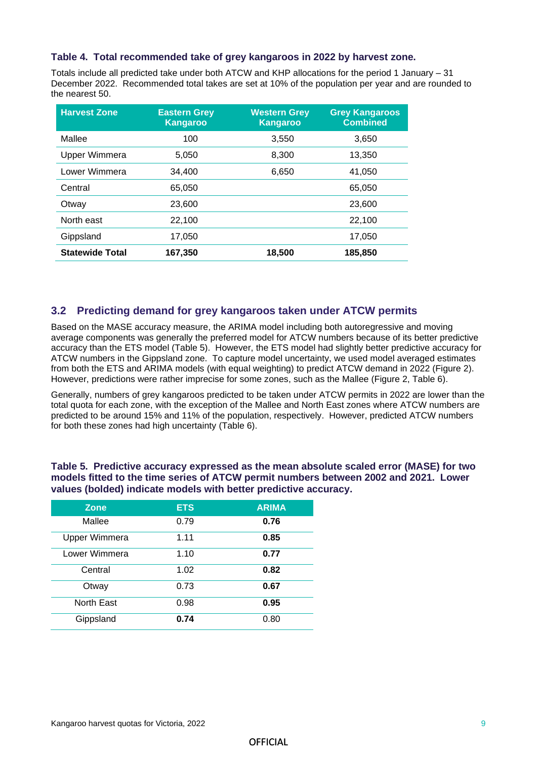#### **Table 4. Total recommended take of grey kangaroos in 2022 by harvest zone.**

Totals include all predicted take under both ATCW and KHP allocations for the period 1 January – 31 December 2022. Recommended total takes are set at 10% of the population per year and are rounded to the nearest 50.

| <b>Harvest Zone</b>    | <b>Eastern Grey</b><br><b>Kangaroo</b> | <b>Western Grey</b><br><b>Kangaroo</b> | <b>Grey Kangaroos</b><br><b>Combined</b> |
|------------------------|----------------------------------------|----------------------------------------|------------------------------------------|
| Mallee                 | 100                                    | 3,550                                  | 3,650                                    |
| Upper Wimmera          | 5,050                                  | 8,300                                  | 13,350                                   |
| Lower Wimmera          | 34.400                                 | 6,650                                  | 41,050                                   |
| Central                | 65.050                                 |                                        | 65,050                                   |
| Otway                  | 23,600                                 |                                        | 23,600                                   |
| North east             | 22,100                                 |                                        | 22,100                                   |
| Gippsland              | 17,050                                 |                                        | 17,050                                   |
| <b>Statewide Total</b> | 167,350                                | 18,500                                 | 185,850                                  |

### **3.2 Predicting demand for grey kangaroos taken under ATCW permits**

Based on the MASE accuracy measure, the ARIMA model including both autoregressive and moving average components was generally the preferred model for ATCW numbers because of its better predictive accuracy than the ETS model (Table 5). However, the ETS model had slightly better predictive accuracy for ATCW numbers in the Gippsland zone. To capture model uncertainty, we used model averaged estimates from both the ETS and ARIMA models (with equal weighting) to predict ATCW demand in 2022 (Figure 2). However, predictions were rather imprecise for some zones, such as the Mallee (Figure 2, Table 6).

Generally, numbers of grey kangaroos predicted to be taken under ATCW permits in 2022 are lower than the total quota for each zone, with the exception of the Mallee and North East zones where ATCW numbers are predicted to be around 15% and 11% of the population, respectively. However, predicted ATCW numbers for both these zones had high uncertainty (Table 6).

**Table 5. Predictive accuracy expressed as the mean absolute scaled error (MASE) for two models fitted to the time series of ATCW permit numbers between 2002 and 2021. Lower values (bolded) indicate models with better predictive accuracy.** 

| <b>Zone</b>          | <b>ETS</b> | <b>ARIMA</b> |
|----------------------|------------|--------------|
| Mallee               | 0.79       | 0.76         |
| <b>Upper Wimmera</b> | 1.11       | 0.85         |
| Lower Wimmera        | 1.10       | 0.77         |
| Central              | 1.02       | 0.82         |
| Otway                | 0.73       | 0.67         |
| North East           | 0.98       | 0.95         |
| Gippsland            | 0.74       | 0.80         |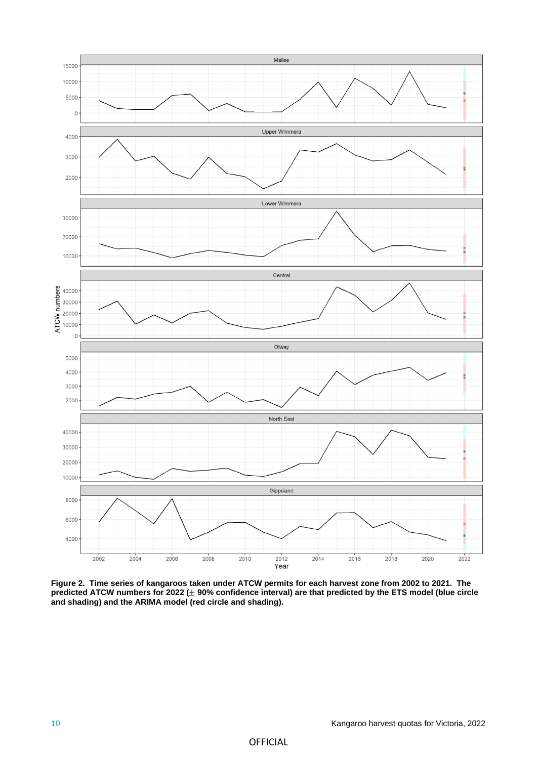

**Figure 2. Time series of kangaroos taken under ATCW permits for each harvest zone from 2002 to 2021. The predicted ATCW numbers for 2022 (**± **90% confidence interval) are that predicted by the ETS model (blue circle and shading) and the ARIMA model (red circle and shading).**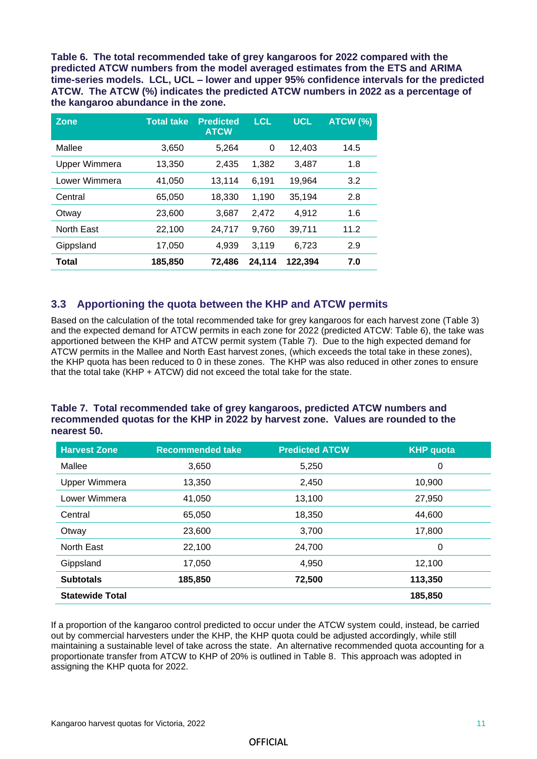**Table 6. The total recommended take of grey kangaroos for 2022 compared with the predicted ATCW numbers from the model averaged estimates from the ETS and ARIMA time-series models. LCL, UCL – lower and upper 95% confidence intervals for the predicted ATCW. The ATCW (%) indicates the predicted ATCW numbers in 2022 as a percentage of the kangaroo abundance in the zone.** 

| <b>Zone</b>   | <b>Total take</b> | <b>Predicted</b><br><b>ATCW</b> | <b>LCL</b> | <b>UCL</b> | ATCW (%) |
|---------------|-------------------|---------------------------------|------------|------------|----------|
| Mallee        | 3,650             | 5,264                           | 0          | 12,403     | 14.5     |
| Upper Wimmera | 13,350            | 2,435                           | 1,382      | 3,487      | 1.8      |
| Lower Wimmera | 41,050            | 13,114                          | 6,191      | 19,964     | 3.2      |
| Central       | 65,050            | 18,330                          | 1,190      | 35.194     | 2.8      |
| Otway         | 23,600            | 3,687                           | 2,472      | 4.912      | 1.6      |
| North East    | 22,100            | 24,717                          | 9.760      | 39.711     | 11.2     |
| Gippsland     | 17,050            | 4,939                           | 3,119      | 6,723      | 2.9      |
| Total         | 185,850           | 72,486                          | 24,114     | 122,394    | 7.0      |

### **3.3 Apportioning the quota between the KHP and ATCW permits**

Based on the calculation of the total recommended take for grey kangaroos for each harvest zone (Table 3) and the expected demand for ATCW permits in each zone for 2022 (predicted ATCW: Table 6), the take was apportioned between the KHP and ATCW permit system (Table 7). Due to the high expected demand for ATCW permits in the Mallee and North East harvest zones, (which exceeds the total take in these zones), the KHP quota has been reduced to 0 in these zones. The KHP was also reduced in other zones to ensure that the total take (KHP + ATCW) did not exceed the total take for the state.

#### **Table 7. Total recommended take of grey kangaroos, predicted ATCW numbers and recommended quotas for the KHP in 2022 by harvest zone. Values are rounded to the nearest 50.**

| <b>Harvest Zone</b>    | <b>Recommended take</b> | <b>Predicted ATCW</b> | <b>KHP</b> quota |
|------------------------|-------------------------|-----------------------|------------------|
| Mallee                 | 3,650                   | 5,250                 | 0                |
| <b>Upper Wimmera</b>   | 13,350                  | 2,450                 | 10,900           |
| Lower Wimmera          | 41,050                  | 13,100                | 27,950           |
| Central                | 65,050                  | 18,350                | 44,600           |
| Otway                  | 23,600                  | 3,700                 | 17,800           |
| North East             | 22,100                  | 24,700                | 0                |
| Gippsland              | 17,050                  | 4,950                 | 12,100           |
| <b>Subtotals</b>       | 185,850                 | 72,500                | 113,350          |
| <b>Statewide Total</b> |                         |                       | 185,850          |

If a proportion of the kangaroo control predicted to occur under the ATCW system could, instead, be carried out by commercial harvesters under the KHP, the KHP quota could be adjusted accordingly, while still maintaining a sustainable level of take across the state. An alternative recommended quota accounting for a proportionate transfer from ATCW to KHP of 20% is outlined in Table 8. This approach was adopted in assigning the KHP quota for 2022.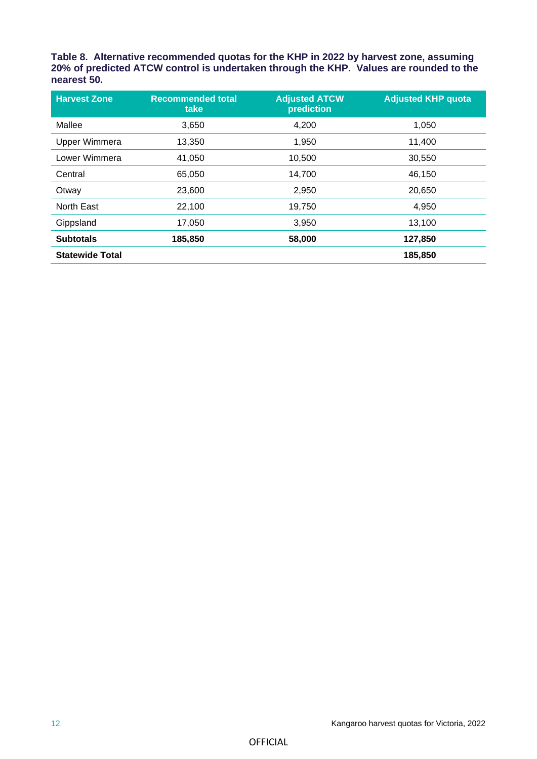**Table 8. Alternative recommended quotas for the KHP in 2022 by harvest zone, assuming 20% of predicted ATCW control is undertaken through the KHP. Values are rounded to the nearest 50.**

| <b>Harvest Zone</b>    | <b>Recommended total</b><br>take | <b>Adjusted ATCW</b><br>prediction | <b>Adjusted KHP quota</b> |
|------------------------|----------------------------------|------------------------------------|---------------------------|
| Mallee                 | 3,650                            | 4,200                              | 1,050                     |
| Upper Wimmera          | 13,350                           | 1,950                              | 11,400                    |
| Lower Wimmera          | 41,050                           | 10,500                             | 30,550                    |
| Central                | 65,050                           | 14,700                             | 46,150                    |
| Otway                  | 23,600                           | 2,950                              | 20,650                    |
| North East             | 22,100                           | 19,750                             | 4,950                     |
| Gippsland              | 17,050                           | 3,950                              | 13,100                    |
| <b>Subtotals</b>       | 185,850                          | 58,000                             | 127,850                   |
| <b>Statewide Total</b> |                                  |                                    | 185,850                   |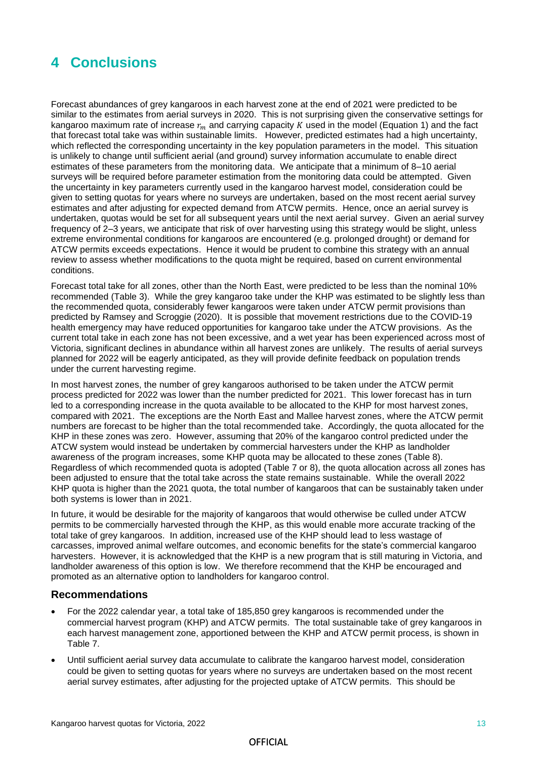### **4 Conclusions**

Forecast abundances of grey kangaroos in each harvest zone at the end of 2021 were predicted to be similar to the estimates from aerial surveys in 2020. This is not surprising given the conservative settings for kangaroo maximum rate of increase  $r_m$  and carrying capacity K used in the model (Equation 1) and the fact that forecast total take was within sustainable limits. However, predicted estimates had a high uncertainty, which reflected the corresponding uncertainty in the key population parameters in the model. This situation is unlikely to change until sufficient aerial (and ground) survey information accumulate to enable direct estimates of these parameters from the monitoring data. We anticipate that a minimum of 8–10 aerial surveys will be required before parameter estimation from the monitoring data could be attempted. Given the uncertainty in key parameters currently used in the kangaroo harvest model, consideration could be given to setting quotas for years where no surveys are undertaken, based on the most recent aerial survey estimates and after adjusting for expected demand from ATCW permits. Hence, once an aerial survey is undertaken, quotas would be set for all subsequent years until the next aerial survey. Given an aerial survey frequency of 2–3 years, we anticipate that risk of over harvesting using this strategy would be slight, unless extreme environmental conditions for kangaroos are encountered (e.g. prolonged drought) or demand for ATCW permits exceeds expectations. Hence it would be prudent to combine this strategy with an annual review to assess whether modifications to the quota might be required, based on current environmental conditions.

Forecast total take for all zones, other than the North East, were predicted to be less than the nominal 10% recommended (Table 3). While the grey kangaroo take under the KHP was estimated to be slightly less than the recommended quota, considerably fewer kangaroos were taken under ATCW permit provisions than predicted by Ramsey and Scroggie (2020). It is possible that movement restrictions due to the COVID-19 health emergency may have reduced opportunities for kangaroo take under the ATCW provisions. As the current total take in each zone has not been excessive, and a wet year has been experienced across most of Victoria, significant declines in abundance within all harvest zones are unlikely. The results of aerial surveys planned for 2022 will be eagerly anticipated, as they will provide definite feedback on population trends under the current harvesting regime.

In most harvest zones, the number of grey kangaroos authorised to be taken under the ATCW permit process predicted for 2022 was lower than the number predicted for 2021. This lower forecast has in turn led to a corresponding increase in the quota available to be allocated to the KHP for most harvest zones, compared with 2021. The exceptions are the North East and Mallee harvest zones, where the ATCW permit numbers are forecast to be higher than the total recommended take. Accordingly, the quota allocated for the KHP in these zones was zero. However, assuming that 20% of the kangaroo control predicted under the ATCW system would instead be undertaken by commercial harvesters under the KHP as landholder awareness of the program increases, some KHP quota may be allocated to these zones (Table 8). Regardless of which recommended quota is adopted (Table 7 or 8), the quota allocation across all zones has been adjusted to ensure that the total take across the state remains sustainable. While the overall 2022 KHP quota is higher than the 2021 quota, the total number of kangaroos that can be sustainably taken under both systems is lower than in 2021.

In future, it would be desirable for the majority of kangaroos that would otherwise be culled under ATCW permits to be commercially harvested through the KHP, as this would enable more accurate tracking of the total take of grey kangaroos. In addition, increased use of the KHP should lead to less wastage of carcasses, improved animal welfare outcomes, and economic benefits for the state's commercial kangaroo harvesters. However, it is acknowledged that the KHP is a new program that is still maturing in Victoria, and landholder awareness of this option is low. We therefore recommend that the KHP be encouraged and promoted as an alternative option to landholders for kangaroo control.

### **Recommendations**

- For the 2022 calendar year, a total take of 185,850 grey kangaroos is recommended under the commercial harvest program (KHP) and ATCW permits. The total sustainable take of grey kangaroos in each harvest management zone, apportioned between the KHP and ATCW permit process, is shown in Table 7.
- Until sufficient aerial survey data accumulate to calibrate the kangaroo harvest model, consideration could be given to setting quotas for years where no surveys are undertaken based on the most recent aerial survey estimates, after adjusting for the projected uptake of ATCW permits. This should be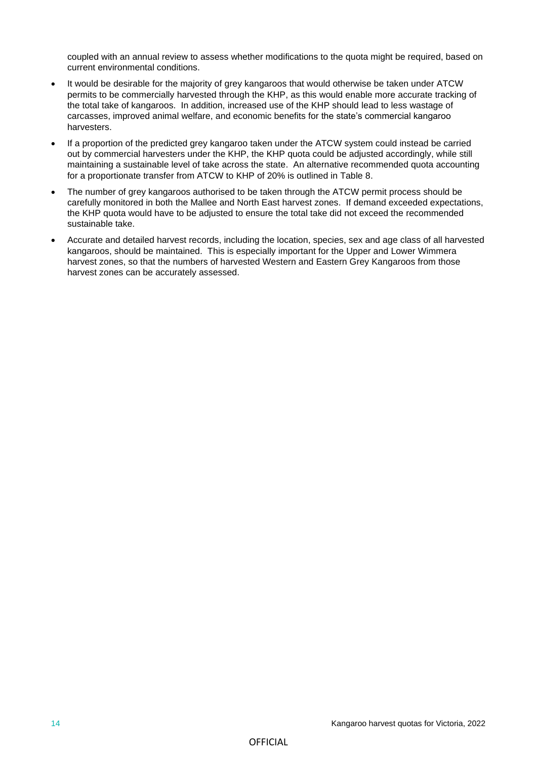coupled with an annual review to assess whether modifications to the quota might be required, based on current environmental conditions.

- It would be desirable for the majority of grey kangaroos that would otherwise be taken under ATCW permits to be commercially harvested through the KHP, as this would enable more accurate tracking of the total take of kangaroos. In addition, increased use of the KHP should lead to less wastage of carcasses, improved animal welfare, and economic benefits for the state's commercial kangaroo harvesters.
- If a proportion of the predicted grey kangaroo taken under the ATCW system could instead be carried out by commercial harvesters under the KHP, the KHP quota could be adjusted accordingly, while still maintaining a sustainable level of take across the state. An alternative recommended quota accounting for a proportionate transfer from ATCW to KHP of 20% is outlined in Table 8.
- The number of grey kangaroos authorised to be taken through the ATCW permit process should be carefully monitored in both the Mallee and North East harvest zones. If demand exceeded expectations, the KHP quota would have to be adjusted to ensure the total take did not exceed the recommended sustainable take.
- Accurate and detailed harvest records, including the location, species, sex and age class of all harvested kangaroos, should be maintained. This is especially important for the Upper and Lower Wimmera harvest zones, so that the numbers of harvested Western and Eastern Grey Kangaroos from those harvest zones can be accurately assessed.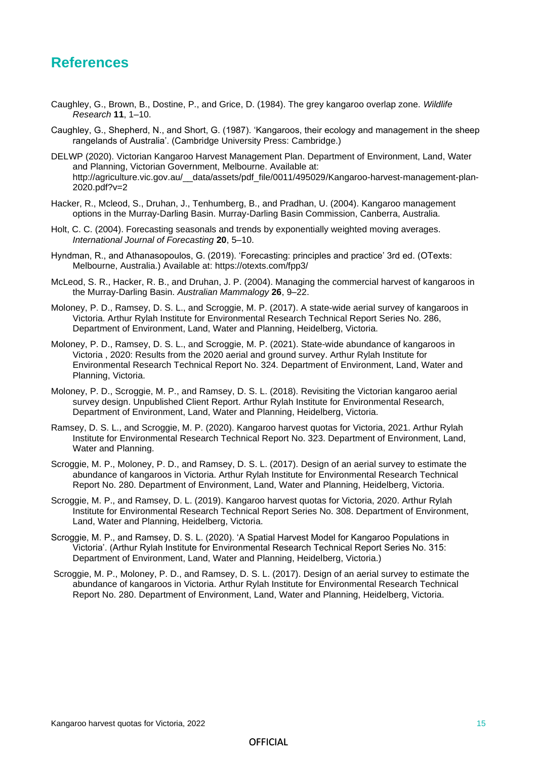### **References**

- Caughley, G., Brown, B., Dostine, P., and Grice, D. (1984). The grey kangaroo overlap zone. *Wildlife Research* **11**, 1–10.
- Caughley, G., Shepherd, N., and Short, G. (1987). 'Kangaroos, their ecology and management in the sheep rangelands of Australia'. (Cambridge University Press: Cambridge.)
- DELWP (2020). Victorian Kangaroo Harvest Management Plan. Department of Environment, Land, Water and Planning, Victorian Government, Melbourne. Available at: http://agriculture.vic.gov.au/ data/assets/pdf file/0011/495029/Kangaroo-harvest-management-plan-2020.pdf?v=2
- Hacker, R., Mcleod, S., Druhan, J., Tenhumberg, B., and Pradhan, U. (2004). Kangaroo management options in the Murray-Darling Basin. Murray-Darling Basin Commission, Canberra, Australia.
- Holt, C. C. (2004). Forecasting seasonals and trends by exponentially weighted moving averages. *International Journal of Forecasting* **20**, 5–10.
- Hyndman, R., and Athanasopoulos, G. (2019). 'Forecasting: principles and practice' 3rd ed. (OTexts: Melbourne, Australia.) Available at: https://otexts.com/fpp3/
- McLeod, S. R., Hacker, R. B., and Druhan, J. P. (2004). Managing the commercial harvest of kangaroos in the Murray-Darling Basin. *Australian Mammalogy* **26**, 9–22.
- Moloney, P. D., Ramsey, D. S. L., and Scroggie, M. P. (2017). A state-wide aerial survey of kangaroos in Victoria. Arthur Rylah Institute for Environmental Research Technical Report Series No. 286, Department of Environment, Land, Water and Planning, Heidelberg, Victoria.
- Moloney, P. D., Ramsey, D. S. L., and Scroggie, M. P. (2021). State-wide abundance of kangaroos in Victoria , 2020: Results from the 2020 aerial and ground survey. Arthur Rylah Institute for Environmental Research Technical Report No. 324. Department of Environment, Land, Water and Planning, Victoria.
- Moloney, P. D., Scroggie, M. P., and Ramsey, D. S. L. (2018). Revisiting the Victorian kangaroo aerial survey design. Unpublished Client Report. Arthur Rylah Institute for Environmental Research, Department of Environment, Land, Water and Planning, Heidelberg, Victoria.
- Ramsey, D. S. L., and Scroggie, M. P. (2020). Kangaroo harvest quotas for Victoria, 2021. Arthur Rylah Institute for Environmental Research Technical Report No. 323. Department of Environment, Land, Water and Planning.
- Scroggie, M. P., Moloney, P. D., and Ramsey, D. S. L. (2017). Design of an aerial survey to estimate the abundance of kangaroos in Victoria. Arthur Rylah Institute for Environmental Research Technical Report No. 280. Department of Environment, Land, Water and Planning, Heidelberg, Victoria.
- Scroggie, M. P., and Ramsey, D. L. (2019). Kangaroo harvest quotas for Victoria, 2020. Arthur Rylah Institute for Environmental Research Technical Report Series No. 308. Department of Environment, Land, Water and Planning, Heidelberg, Victoria.
- Scroggie, M. P., and Ramsey, D. S. L. (2020). 'A Spatial Harvest Model for Kangaroo Populations in Victoria'. (Arthur Rylah Institute for Environmental Research Technical Report Series No. 315: Department of Environment, Land, Water and Planning, Heidelberg, Victoria.)
- Scroggie, M. P., Moloney, P. D., and Ramsey, D. S. L. (2017). Design of an aerial survey to estimate the abundance of kangaroos in Victoria. Arthur Rylah Institute for Environmental Research Technical Report No. 280. Department of Environment, Land, Water and Planning, Heidelberg, Victoria.